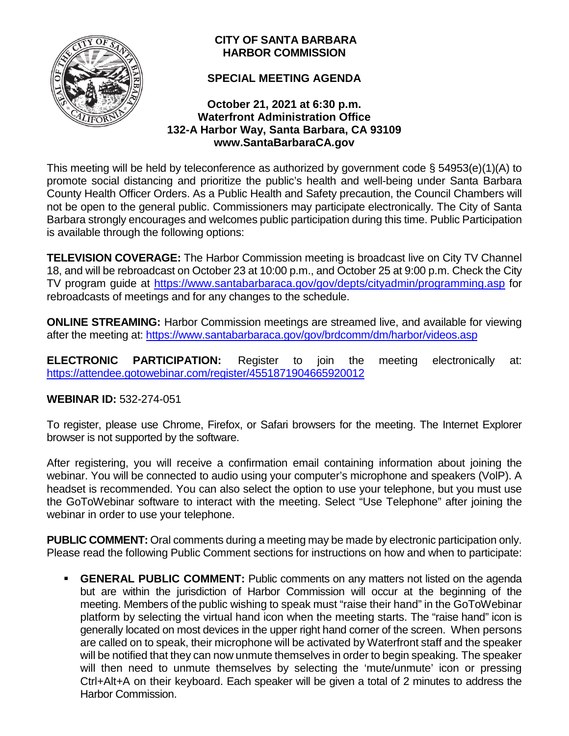

# **CITY OF SANTA BARBARA HARBOR COMMISSION**

# **SPECIAL MEETING AGENDA**

# **October 21, 2021 at 6:30 p.m. Waterfront Administration Office 132-A Harbor Way, Santa Barbara, CA 93109 www.SantaBarbaraCA.gov**

This meeting will be held by teleconference as authorized by government code § 54953(e)(1)(A) to promote social distancing and prioritize the public's health and well-being under Santa Barbara County Health Officer Orders. As a Public Health and Safety precaution, the Council Chambers will not be open to the general public. Commissioners may participate electronically. The City of Santa Barbara strongly encourages and welcomes public participation during this time. Public Participation is available through the following options:

**TELEVISION COVERAGE:** The Harbor Commission meeting is broadcast live on City TV Channel 18, and will be rebroadcast on October 23 at 10:00 p.m., and October 25 at 9:00 p.m. Check the City TV program guide at<https://www.santabarbaraca.gov/gov/depts/cityadmin/programming.asp> for rebroadcasts of meetings and for any changes to the schedule.

**ONLINE STREAMING:** Harbor Commission meetings are streamed live, and available for viewing after the meeting at: <https://www.santabarbaraca.gov/gov/brdcomm/dm/harbor/videos.asp>

**ELECTRONIC PARTICIPATION:** Register to join the meeting electronically at: <https://attendee.gotowebinar.com/register/4551871904665920012>

# **WEBINAR ID:** 532-274-051

To register, please use Chrome, Firefox, or Safari browsers for the meeting. The Internet Explorer browser is not supported by the software.

After registering, you will receive a confirmation email containing information about joining the webinar. You will be connected to audio using your computer's microphone and speakers (VolP). A headset is recommended. You can also select the option to use your telephone, but you must use the GoToWebinar software to interact with the meeting. Select "Use Telephone" after joining the webinar in order to use your telephone.

**PUBLIC COMMENT:** Oral comments during a meeting may be made by electronic participation only. Please read the following Public Comment sections for instructions on how and when to participate:

**GENERAL PUBLIC COMMENT:** Public comments on any matters not listed on the agenda but are within the jurisdiction of Harbor Commission will occur at the beginning of the meeting. Members of the public wishing to speak must "raise their hand" in the GoToWebinar platform by selecting the virtual hand icon when the meeting starts. The "raise hand" icon is generally located on most devices in the upper right hand corner of the screen. When persons are called on to speak, their microphone will be activated by Waterfront staff and the speaker will be notified that they can now unmute themselves in order to begin speaking. The speaker will then need to unmute themselves by selecting the 'mute/unmute' icon or pressing Ctrl+Alt+A on their keyboard. Each speaker will be given a total of 2 minutes to address the Harbor Commission.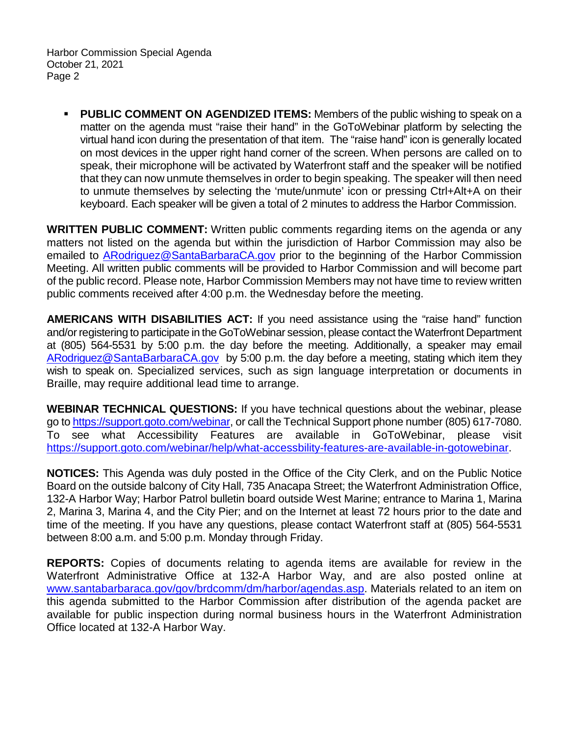Harbor Commission Special Agenda October 21, 2021 Page 2

**PUBLIC COMMENT ON AGENDIZED ITEMS:** Members of the public wishing to speak on a matter on the agenda must "raise their hand" in the GoToWebinar platform by selecting the virtual hand icon during the presentation of that item. The "raise hand" icon is generally located on most devices in the upper right hand corner of the screen. When persons are called on to speak, their microphone will be activated by Waterfront staff and the speaker will be notified that they can now unmute themselves in order to begin speaking. The speaker will then need to unmute themselves by selecting the 'mute/unmute' icon or pressing Ctrl+Alt+A on their keyboard. Each speaker will be given a total of 2 minutes to address the Harbor Commission.

**WRITTEN PUBLIC COMMENT:** Written public comments regarding items on the agenda or any matters not listed on the agenda but within the jurisdiction of Harbor Commission may also be emailed to **ARodriguez@SantaBarbaraCA.gov** prior to the beginning of the Harbor Commission Meeting. All written public comments will be provided to Harbor Commission and will become part of the public record. Please note, Harbor Commission Members may not have time to review written public comments received after 4:00 p.m. the Wednesday before the meeting.

**AMERICANS WITH DISABILITIES ACT:** If you need assistance using the "raise hand" function and/or registering to participate in the GoToWebinar session, please contact the Waterfront Department at (805) 564-5531 by 5:00 p.m. the day before the meeting. Additionally, a speaker may email [ARodriguez@SantaBarbaraCA.gov](mailto:ARodriguez@SantaBarbaraCA.gov) by 5:00 p.m. the day before a meeting, stating which item they wish to speak on. Specialized services, such as sign language interpretation or documents in Braille, may require additional lead time to arrange.

**WEBINAR TECHNICAL QUESTIONS:** If you have technical questions about the webinar, please go to [https://support.goto.com/webinar,](https://support.goto.com/webinar) or call the Technical Support phone number (805) 617-7080. To see what Accessibility Features are available in GoToWebinar, please visit [https://support.goto.com/webinar/help/what-accessbility-features-are-available-in-gotowebinar.](https://support.goto.com/webinar/help/what-accessbility-features-are-available-in-gotowebinar)

**NOTICES:** This Agenda was duly posted in the Office of the City Clerk, and on the Public Notice Board on the outside balcony of City Hall, 735 Anacapa Street; the Waterfront Administration Office, 132-A Harbor Way; Harbor Patrol bulletin board outside West Marine; entrance to Marina 1, Marina 2, Marina 3, Marina 4, and the City Pier; and on the Internet at least 72 hours prior to the date and time of the meeting. If you have any questions, please contact Waterfront staff at (805) 564-5531 between 8:00 a.m. and 5:00 p.m. Monday through Friday.

**REPORTS:** Copies of documents relating to agenda items are available for review in the Waterfront Administrative Office at 132-A Harbor Way, and are also posted online at [www.santabarbaraca.gov/gov/brdcomm/dm/harbor/agendas.asp.](http://www.santabarbaraca.gov/gov/brdcomm/dm/harbor/agendas.asp) Materials related to an item on this agenda submitted to the Harbor Commission after distribution of the agenda packet are available for public inspection during normal business hours in the Waterfront Administration Office located at 132-A Harbor Way.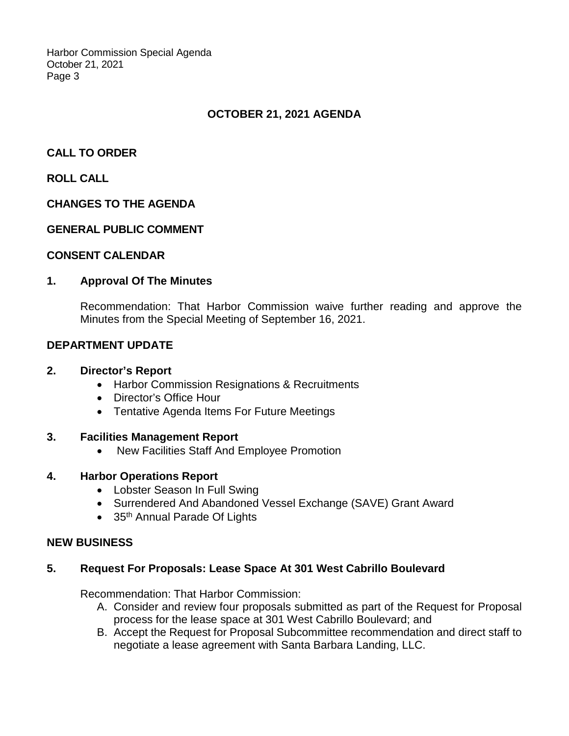Harbor Commission Special Agenda October 21, 2021 Page 3

# **OCTOBER 21, 2021 AGENDA**

# **CALL TO ORDER**

# **ROLL CALL**

## **CHANGES TO THE AGENDA**

#### **GENERAL PUBLIC COMMENT**

#### **CONSENT CALENDAR**

#### **1. Approval Of The Minutes**

Recommendation: That Harbor Commission waive further reading and approve the Minutes from the Special Meeting of September 16, 2021.

#### **DEPARTMENT UPDATE**

#### **2. Director's Report**

- Harbor Commission Resignations & Recruitments
- Director's Office Hour
- Tentative Agenda Items For Future Meetings

#### **3. Facilities Management Report**

• New Facilities Staff And Employee Promotion

#### **4. Harbor Operations Report**

- Lobster Season In Full Swing
- Surrendered And Abandoned Vessel Exchange (SAVE) Grant Award
- 35<sup>th</sup> Annual Parade Of Lights

#### **NEW BUSINESS**

## **5. Request For Proposals: Lease Space At 301 West Cabrillo Boulevard**

Recommendation: That Harbor Commission:

- A. Consider and review four proposals submitted as part of the Request for Proposal process for the lease space at 301 West Cabrillo Boulevard; and
- B. Accept the Request for Proposal Subcommittee recommendation and direct staff to negotiate a lease agreement with Santa Barbara Landing, LLC.